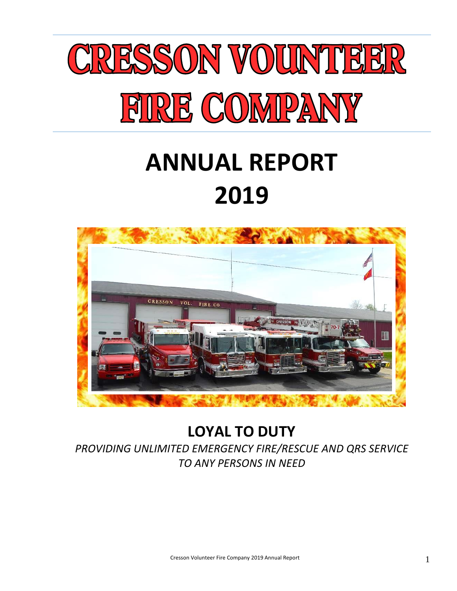

## **ANNUAL REPORT 2019**



### **LOYAL TO DUTY**

*PROVIDING UNLIMITED EMERGENCY FIRE/RESCUE AND QRS SERVICE TO ANY PERSONS IN NEED*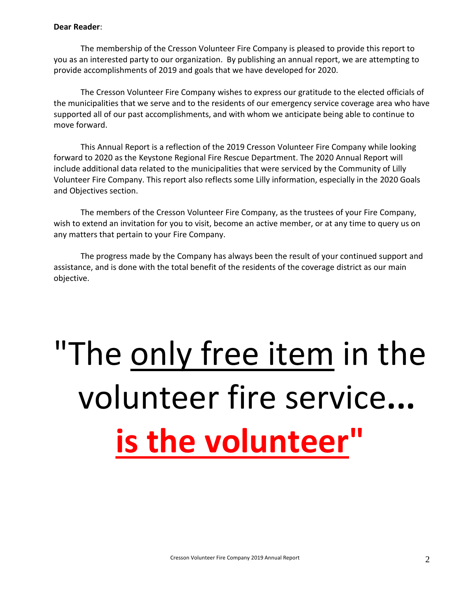### **Dear Reader**:

The membership of the Cresson Volunteer Fire Company is pleased to provide this report to you as an interested party to our organization. By publishing an annual report, we are attempting to provide accomplishments of 2019 and goals that we have developed for 2020.

The Cresson Volunteer Fire Company wishes to express our gratitude to the elected officials of the municipalities that we serve and to the residents of our emergency service coverage area who have supported all of our past accomplishments, and with whom we anticipate being able to continue to move forward.

This Annual Report is a reflection of the 2019 Cresson Volunteer Fire Company while looking forward to 2020 as the Keystone Regional Fire Rescue Department. The 2020 Annual Report will include additional data related to the municipalities that were serviced by the Community of Lilly Volunteer Fire Company. This report also reflects some Lilly information, especially in the 2020 Goals and Objectives section.

The members of the Cresson Volunteer Fire Company, as the trustees of your Fire Company, wish to extend an invitation for you to visit, become an active member, or at any time to query us on any matters that pertain to your Fire Company.

The progress made by the Company has always been the result of your continued support and assistance, and is done with the total benefit of the residents of the coverage district as our main objective.

# "The only free item in the volunteer fire service**... is the volunteer"**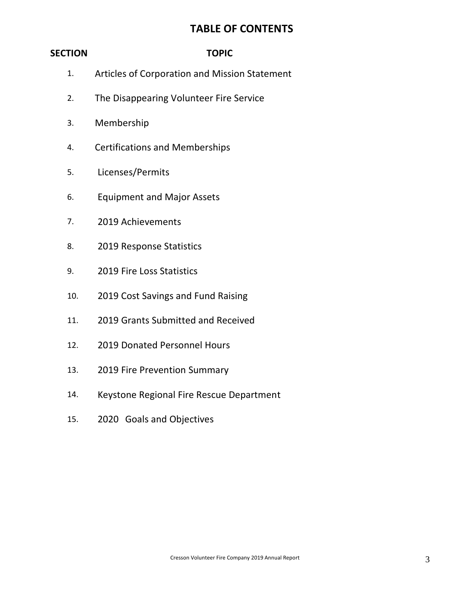### **TABLE OF CONTENTS**

### **SECTION TOPIC**

- 1. Articles of Corporation and Mission Statement
- 2. The Disappearing Volunteer Fire Service
- 3. Membership
- 4. Certifications and Memberships
- 5. Licenses/Permits
- 6. Equipment and Major Assets
- 7. 2019 Achievements
- 8. 2019 Response Statistics
- 9. 2019 Fire Loss Statistics
- 10. 2019 Cost Savings and Fund Raising
- 11. 2019 Grants Submitted and Received
- 12. 2019 Donated Personnel Hours
- 13. 2019 Fire Prevention Summary
- 14. Keystone Regional Fire Rescue Department
- 15. 2020 Goals and Objectives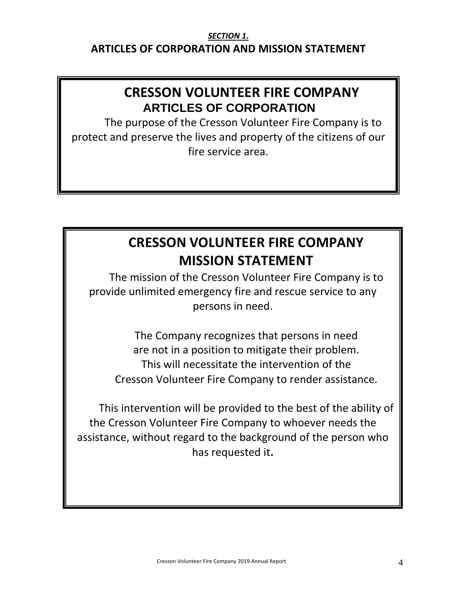### *SECTION 1.* **ARTICLES OF CORPORATION AND MISSION STATEMENT**

### **CRESSON VOLUNTEER FIRE COMPANY ARTICLES OF CORPORATION**

The purpose of the Cresson Volunteer Fire Company is to protect and preserve the lives and property of the citizens of our fire service area.

### **CRESSON VOLUNTEER FIRE COMPANY MISSION STATEMENT**

The mission of the Cresson Volunteer Fire Company is to provide unlimited emergency fire and rescue service to any persons in need.

The Company recognizes that persons in need are not in a position to mitigate their problem. This will necessitate the intervention of the Cresson Volunteer Fire Company to render assistance.

This intervention will be provided to the best of the ability of the Cresson Volunteer Fire Company to whoever needs the assistance, without regard to the background of the person who has requested it**.**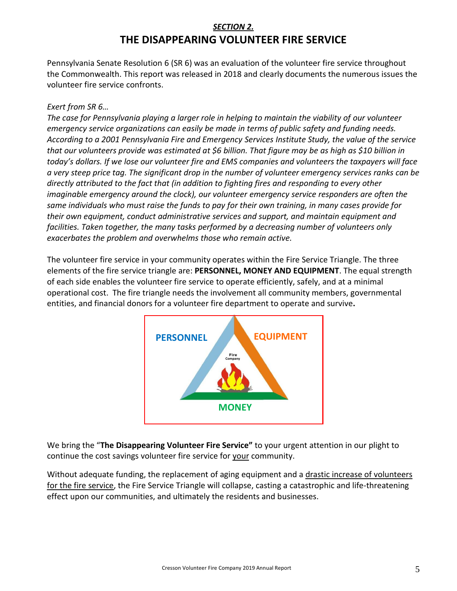### *SECTION 2.* **THE DISAPPEARING VOLUNTEER FIRE SERVICE**

Pennsylvania Senate Resolution 6 (SR 6) was an evaluation of the volunteer fire service throughout the Commonwealth. This report was released in 2018 and clearly documents the numerous issues the volunteer fire service confronts.

### *Exert from SR 6…*

*The case for Pennsylvania playing a larger role in helping to maintain the viability of our volunteer emergency service organizations can easily be made in terms of public safety and funding needs. According to a 2001 Pennsylvania Fire and Emergency Services Institute Study, the value of the service that our volunteers provide was estimated at \$6 billion. That figure may be as high as \$10 billion in today's dollars. If we lose our volunteer fire and EMS companies and volunteers the taxpayers will face a very steep price tag. The significant drop in the number of volunteer emergency services ranks can be directly attributed to the fact that (in addition to fighting fires and responding to every other imaginable emergency around the clock), our volunteer emergency service responders are often the same individuals who must raise the funds to pay for their own training, in many cases provide for their own equipment, conduct administrative services and support, and maintain equipment and facilities. Taken together, the many tasks performed by a decreasing number of volunteers only exacerbates the problem and overwhelms those who remain active.*

The volunteer fire service in your community operates within the Fire Service Triangle. The three elements of the fire service triangle are: **PERSONNEL, MONEY AND EQUIPMENT**. The equal strength of each side enables the volunteer fire service to operate efficiently, safely, and at a minimal operational cost. The fire triangle needs the involvement all community members, governmental entities, and financial donors for a volunteer fire department to operate and survive**.**



We bring the "**The Disappearing Volunteer Fire Service"** to your urgent attention in our plight to continue the cost savings volunteer fire service for your community.

Without adequate funding, the replacement of aging equipment and a drastic increase of volunteers for the fire service, the Fire Service Triangle will collapse, casting a catastrophic and life-threatening effect upon our communities, and ultimately the residents and businesses.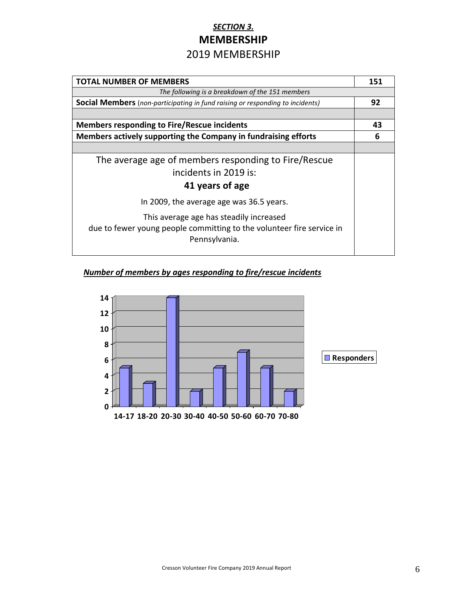### *SECTION 3.* **MEMBERSHIP** 2019 MEMBERSHIP

| <b>TOTAL NUMBER OF MEMBERS</b>                                                                                                    | 151 |  |
|-----------------------------------------------------------------------------------------------------------------------------------|-----|--|
| The following is a breakdown of the 151 members                                                                                   |     |  |
| <b>Social Members</b> (non-participating in fund raising or responding to incidents)                                              | 92  |  |
|                                                                                                                                   |     |  |
| <b>Members responding to Fire/Rescue incidents</b>                                                                                | 43  |  |
| Members actively supporting the Company in fundraising efforts                                                                    | 6   |  |
|                                                                                                                                   |     |  |
| The average age of members responding to Fire/Rescue                                                                              |     |  |
| incidents in 2019 is:                                                                                                             |     |  |
| 41 years of age                                                                                                                   |     |  |
| In 2009, the average age was 36.5 years.                                                                                          |     |  |
| This average age has steadily increased<br>due to fewer young people committing to the volunteer fire service in<br>Pennsylvania. |     |  |

### *Number of members by ages responding to fire/rescue incidents*

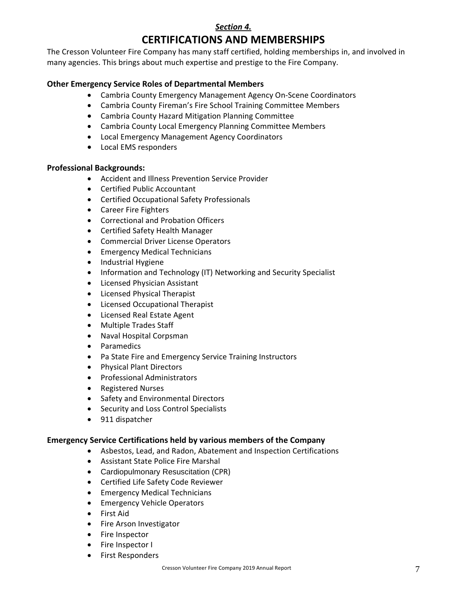### *Section 4.* **CERTIFICATIONS AND MEMBERSHIPS**

The Cresson Volunteer Fire Company has many staff certified, holding memberships in, and involved in many agencies. This brings about much expertise and prestige to the Fire Company.

### **Other Emergency Service Roles of Departmental Members**

- Cambria County Emergency Management Agency On-Scene Coordinators
- Cambria County Fireman's Fire School Training Committee Members
- Cambria County Hazard Mitigation Planning Committee
- Cambria County Local Emergency Planning Committee Members
- Local Emergency Management Agency Coordinators
- Local EMS responders

### **Professional Backgrounds:**

- Accident and Illness Prevention Service Provider
- Certified Public Accountant
- Certified Occupational Safety Professionals
- Career Fire Fighters
- Correctional and Probation Officers
- Certified Safety Health Manager
- Commercial Driver License Operators
- **Emergency Medical Technicians**
- Industrial Hygiene
- Information and Technology (IT) Networking and Security Specialist
- Licensed Physician Assistant
- Licensed Physical Therapist
- Licensed Occupational Therapist
- Licensed Real Estate Agent
- Multiple Trades Staff
- Naval Hospital Corpsman
- Paramedics
- Pa State Fire and Emergency Service Training Instructors
- Physical Plant Directors
- Professional Administrators
- Registered Nurses
- Safety and Environmental Directors
- Security and Loss Control Specialists
- 911 dispatcher

### **Emergency Service Certifications held by various members of the Company**

- Asbestos, Lead, and Radon, Abatement and Inspection Certifications
- Assistant State Police Fire Marshal
- Cardiopulmonary Resuscitation (CPR)
- Certified Life Safety Code Reviewer
- Emergency Medical Technicians
- Emergency Vehicle Operators
- First Aid
- Fire Arson Investigator
- Fire Inspector
- Fire Inspector I
- First Responders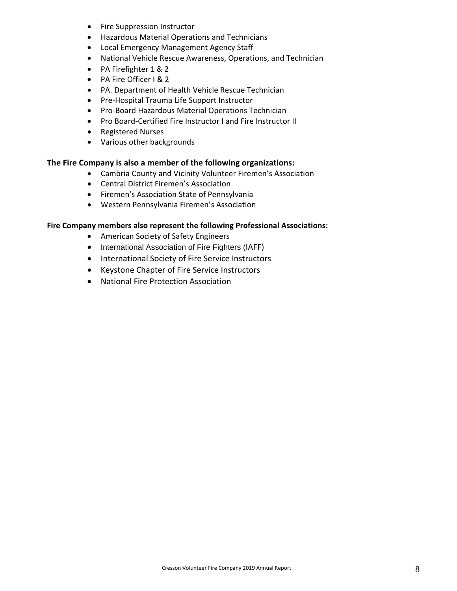- Fire Suppression Instructor
- Hazardous Material Operations and Technicians
- Local Emergency Management Agency Staff
- National Vehicle Rescue Awareness, Operations, and Technician
- PA Firefighter 1 & 2
- PA Fire Officer I & 2
- PA. Department of Health Vehicle Rescue Technician
- Pre-Hospital Trauma Life Support Instructor
- Pro-Board Hazardous Material Operations Technician
- Pro Board-Certified Fire Instructor I and Fire Instructor II
- Registered Nurses
- Various other backgrounds

### **The Fire Company is also a member of the following organizations:**

- Cambria County and Vicinity Volunteer Firemen's Association
- Central District Firemen's Association
- Firemen's Association State of Pennsylvania
- Western Pennsylvania Firemen's Association

### **Fire Company members also represent the following Professional Associations:**

- American Society of Safety Engineers
- International Association of Fire Fighters (IAFF)
- International Society of Fire Service Instructors
- Keystone Chapter of Fire Service Instructors
- National Fire Protection Association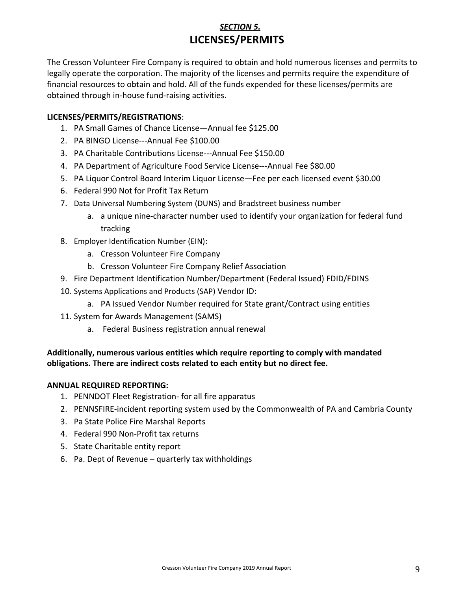### *SECTION 5.*  **LICENSES/PERMITS**

The Cresson Volunteer Fire Company is required to obtain and hold numerous licenses and permits to legally operate the corporation. The majority of the licenses and permits require the expenditure of financial resources to obtain and hold. All of the funds expended for these licenses/permits are obtained through in-house fund-raising activities.

### **LICENSES/PERMITS/REGISTRATIONS**:

- 1. PA Small Games of Chance License—Annual fee \$125.00
- 2. PA BINGO License---Annual Fee \$100.00
- 3. PA Charitable Contributions License---Annual Fee \$150.00
- 4. PA Department of Agriculture Food Service License---Annual Fee \$80.00
- 5. PA Liquor Control Board Interim Liquor License—Fee per each licensed event \$30.00
- 6. Federal 990 Not for Profit Tax Return
- 7. Data Universal Numbering System (DUNS) and Bradstreet business number
	- a. a unique nine-character number used to identify your organization for federal fund tracking
- 8. Employer Identification Number (EIN):
	- a. Cresson Volunteer Fire Company
	- b. Cresson Volunteer Fire Company Relief Association
- 9. Fire Department Identification Number/Department (Federal Issued) FDID/FDINS
- 10. Systems Applications and Products (SAP) Vendor ID:
	- a. PA Issued Vendor Number required for State grant/Contract using entities
- 11. System for Awards Management (SAMS)
	- a. Federal Business registration annual renewal

### **Additionally, numerous various entities which require reporting to comply with mandated obligations. There are indirect costs related to each entity but no direct fee.**

### **ANNUAL REQUIRED REPORTING:**

- 1. PENNDOT Fleet Registration- for all fire apparatus
- 2. PENNSFIRE-incident reporting system used by the Commonwealth of PA and Cambria County
- 3. Pa State Police Fire Marshal Reports
- 4. Federal 990 Non-Profit tax returns
- 5. State Charitable entity report
- 6. Pa. Dept of Revenue quarterly tax withholdings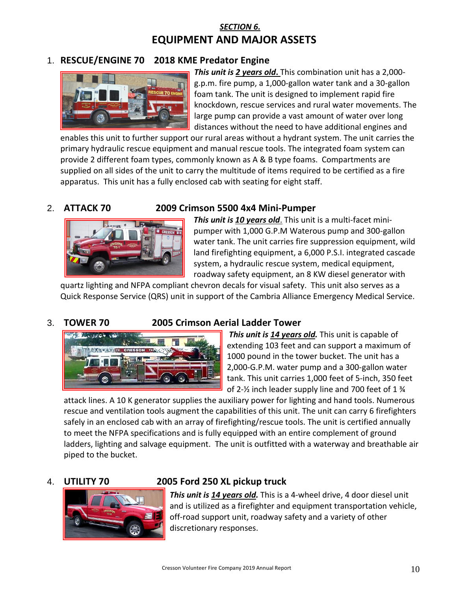### *SECTION 6.*  **EQUIPMENT AND MAJOR ASSETS**

### 1. **RESCUE/ENGINE 70 2018 KME Predator Engine**



*This unit is 2 years old***.** This combination unit has a 2,000 g.p.m. fire pump, a 1,000-gallon water tank and a 30-gallon foam tank. The unit is designed to implement rapid fire knockdown, rescue services and rural water movements. The large pump can provide a vast amount of water over long distances without the need to have additional engines and

enables this unit to further support our rural areas without a hydrant system. The unit carries the primary hydraulic rescue equipment and manual rescue tools. The integrated foam system can provide 2 different foam types, commonly known as A & B type foams. Compartments are supplied on all sides of the unit to carry the multitude of items required to be certified as a fire apparatus. This unit has a fully enclosed cab with seating for eight staff.



### 2. **ATTACK 70 2009 Crimson 5500 4x4 Mini-Pumper**

*This unit is 10 years old*. This unit is a multi-facet minipumper with 1,000 G.P.M Waterous pump and 300-gallon water tank. The unit carries fire suppression equipment, wild land firefighting equipment, a 6,000 P.S.I. integrated cascade system, a hydraulic rescue system, medical equipment, roadway safety equipment, an 8 KW diesel generator with

quartz lighting and NFPA compliant chevron decals for visual safety. This unit also serves as a Quick Response Service (QRS) unit in support of the Cambria Alliance Emergency Medical Service.

### 3. **TOWER 70 2005 Crimson Aerial Ladder Tower**



*This unit is 14 years old.* This unit is capable of extending 103 feet and can support a maximum of 1000 pound in the tower bucket. The unit has a 2,000-G.P.M. water pump and a 300-gallon water tank. This unit carries 1,000 feet of 5-inch, 350 feet of 2-½ inch leader supply line and 700 feet of 1 ¾

attack lines. A 10 K generator supplies the auxiliary power for lighting and hand tools. Numerous rescue and ventilation tools augment the capabilities of this unit. The unit can carry 6 firefighters safely in an enclosed cab with an array of firefighting/rescue tools. The unit is certified annually to meet the NFPA specifications and is fully equipped with an entire complement of ground ladders, lighting and salvage equipment. The unit is outfitted with a waterway and breathable air piped to the bucket.



### 4. **UTILITY 70 2005 Ford 250 XL pickup truck**

*This unit is 14 years old.* This is a 4-wheel drive, 4 door diesel unit and is utilized as a firefighter and equipment transportation vehicle, off-road support unit, roadway safety and a variety of other discretionary responses.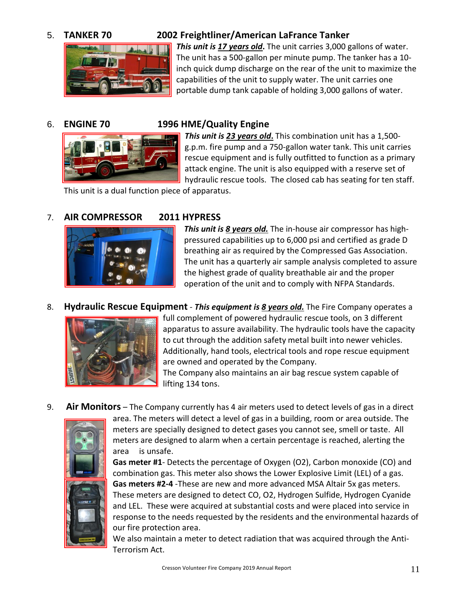

### 5. **TANKER 70 2002 Freightliner/American LaFrance Tanker**

*This unit is 17 years old***.** The unit carries 3,000 gallons of water. The unit has a 500-gallon per minute pump. The tanker has a 10 inch quick dump discharge on the rear of the unit to maximize the capabilities of the unit to supply water. The unit carries one portable dump tank capable of holding 3,000 gallons of water.



### 6. **ENGINE 70 1996 HME/Quality Engine**

*This unit is 23 years old***.** This combination unit has a 1,500 g.p.m. fire pump and a 750-gallon water tank. This unit carries rescue equipment and is fully outfitted to function as a primary attack engine. The unit is also equipped with a reserve set of hydraulic rescue tools. The closed cab has seating for ten staff.

This unit is a dual function piece of apparatus.

### 7. **AIR COMPRESSOR 2011 HYPRESS**



*This unit is 8 years old.* The in-house air compressor has highpressured capabilities up to 6,000 psi and certified as grade D breathing air as required by the Compressed Gas Association. The unit has a quarterly air sample analysis completed to assure the highest grade of quality breathable air and the proper operation of the unit and to comply with NFPA Standards.

8. **Hydraulic Rescue Equipment** - *This equipment is 8 years old.* The Fire Company operates a



full complement of powered hydraulic rescue tools, on 3 different apparatus to assure availability. The hydraulic tools have the capacity to cut through the addition safety metal built into newer vehicles. Additionally, hand tools, electrical tools and rope rescue equipment are owned and operated by the Company.

The Company also maintains an air bag rescue system capable of lifting 134 tons.

9. **Air Monitors** – The Company currently has 4 air meters used to detect levels of gas in a direct



area. The meters will detect a level of gas in a building, room or area outside. The meters are specially designed to detect gases you cannot see, smell or taste. All meters are designed to alarm when a certain percentage is reached, alerting the area is unsafe.

**Gas meter #1**- Detects the percentage of Oxygen (O2), Carbon monoxide (CO) and combination gas. This meter also shows the Lower Explosive Limit (LEL) of a gas. **Gas meters #2-4** -These are new and more advanced MSA Altair 5x gas meters. These meters are designed to detect CO, O2, Hydrogen Sulfide, Hydrogen Cyanide and LEL. These were acquired at substantial costs and were placed into service in response to the needs requested by the residents and the environmental hazards of our fire protection area.

We also maintain a meter to detect radiation that was acquired through the Anti-Terrorism Act.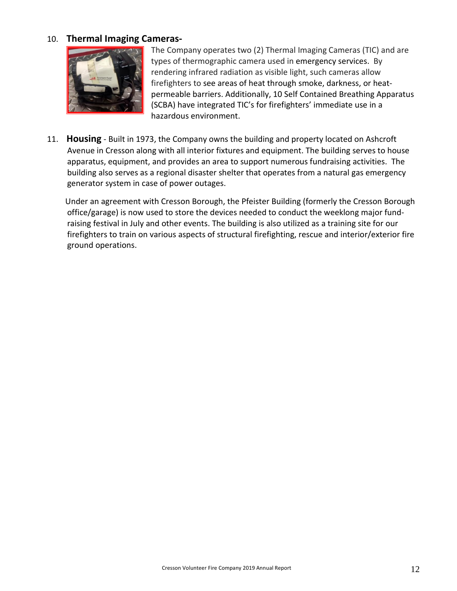### 10. **Thermal Imaging Cameras-**



The Company operates two (2) Thermal Imaging Cameras (TIC) and are types of thermographic camera used in emergency services. By rendering infrared radiation as visible light, such cameras allow firefighters to see areas of heat through smoke, darkness, or heatpermeable barriers. Additionally, 10 Self Contained Breathing Apparatus (SCBA) have integrated TIC's for firefighters' immediate use in a hazardous environment.

11. **Housing** - Built in 1973, the Company owns the building and property located on Ashcroft Avenue in Cresson along with all interior fixtures and equipment. The building serves to house apparatus, equipment, and provides an area to support numerous fundraising activities. The building also serves as a regional disaster shelter that operates from a natural gas emergency generator system in case of power outages.

 Under an agreement with Cresson Borough, the Pfeister Building (formerly the Cresson Borough office/garage) is now used to store the devices needed to conduct the weeklong major fundraising festival in July and other events. The building is also utilized as a training site for our firefighters to train on various aspects of structural firefighting, rescue and interior/exterior fire ground operations.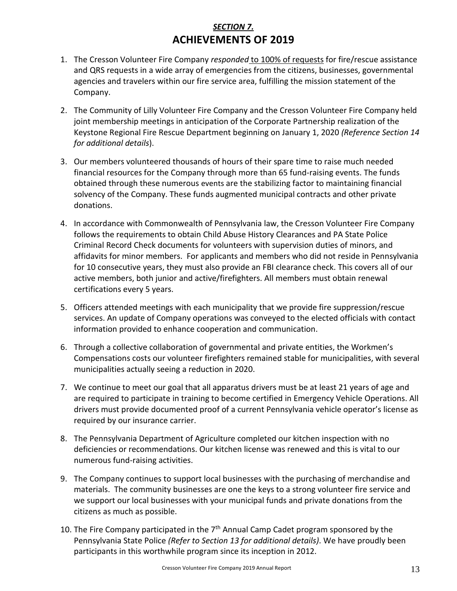### *SECTION 7.* **ACHIEVEMENTS OF 2019**

- 1. The Cresson Volunteer Fire Company *responded* to 100% of requests for fire/rescue assistance and QRS requests in a wide array of emergencies from the citizens, businesses, governmental agencies and travelers within our fire service area, fulfilling the mission statement of the Company.
- 2. The Community of Lilly Volunteer Fire Company and the Cresson Volunteer Fire Company held joint membership meetings in anticipation of the Corporate Partnership realization of the Keystone Regional Fire Rescue Department beginning on January 1, 2020 *(Reference Section 14 for additional details*).
- 3. Our members volunteered thousands of hours of their spare time to raise much needed financial resources for the Company through more than 65 fund-raising events. The funds obtained through these numerous events are the stabilizing factor to maintaining financial solvency of the Company. These funds augmented municipal contracts and other private donations.
- 4. In accordance with Commonwealth of Pennsylvania law, the Cresson Volunteer Fire Company follows the requirements to obtain Child Abuse History Clearances and PA State Police Criminal Record Check documents for volunteers with supervision duties of minors, and affidavits for minor members. For applicants and members who did not reside in Pennsylvania for 10 consecutive years, they must also provide an FBI clearance check. This covers all of our active members, both junior and active/firefighters. All members must obtain renewal certifications every 5 years.
- 5. Officers attended meetings with each municipality that we provide fire suppression/rescue services. An update of Company operations was conveyed to the elected officials with contact information provided to enhance cooperation and communication.
- 6. Through a collective collaboration of governmental and private entities, the Workmen's Compensations costs our volunteer firefighters remained stable for municipalities, with several municipalities actually seeing a reduction in 2020.
- 7. We continue to meet our goal that all apparatus drivers must be at least 21 years of age and are required to participate in training to become certified in Emergency Vehicle Operations. All drivers must provide documented proof of a current Pennsylvania vehicle operator's license as required by our insurance carrier.
- 8. The Pennsylvania Department of Agriculture completed our kitchen inspection with no deficiencies or recommendations. Our kitchen license was renewed and this is vital to our numerous fund-raising activities.
- 9. The Company continues to support local businesses with the purchasing of merchandise and materials. The community businesses are one the keys to a strong volunteer fire service and we support our local businesses with your municipal funds and private donations from the citizens as much as possible.
- 10. The Fire Company participated in the  $7<sup>th</sup>$  Annual Camp Cadet program sponsored by the Pennsylvania State Police *(Refer to Section 13 for additional details)*. We have proudly been participants in this worthwhile program since its inception in 2012.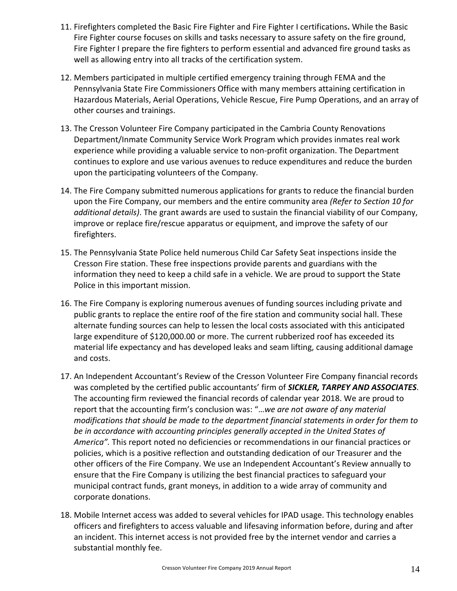- 11. Firefighters completed the Basic Fire Fighter and Fire Fighter I certifications**.** While the Basic Fire Fighter course focuses on skills and tasks necessary to assure safety on the fire ground, Fire Fighter I prepare the fire fighters to perform essential and advanced fire ground tasks as well as allowing entry into all tracks of the certification system.
- 12. Members participated in multiple certified emergency training through FEMA and the Pennsylvania State Fire Commissioners Office with many members attaining certification in Hazardous Materials, Aerial Operations, Vehicle Rescue, Fire Pump Operations, and an array of other courses and trainings.
- 13. The Cresson Volunteer Fire Company participated in the Cambria County Renovations Department/Inmate Community Service Work Program which provides inmates real work experience while providing a valuable service to non-profit organization. The Department continues to explore and use various avenues to reduce expenditures and reduce the burden upon the participating volunteers of the Company.
- 14. The Fire Company submitted numerous applications for grants to reduce the financial burden upon the Fire Company, our members and the entire community area *(Refer to Section 10 for additional details)*. The grant awards are used to sustain the financial viability of our Company, improve or replace fire/rescue apparatus or equipment, and improve the safety of our firefighters.
- 15. The Pennsylvania State Police held numerous Child Car Safety Seat inspections inside the Cresson Fire station. These free inspections provide parents and guardians with the information they need to keep a child safe in a vehicle. We are proud to support the State Police in this important mission.
- 16. The Fire Company is exploring numerous avenues of funding sources including private and public grants to replace the entire roof of the fire station and community social hall. These alternate funding sources can help to lessen the local costs associated with this anticipated large expenditure of \$120,000.00 or more. The current rubberized roof has exceeded its material life expectancy and has developed leaks and seam lifting, causing additional damage and costs.
- 17. An Independent Accountant's Review of the Cresson Volunteer Fire Company financial records was completed by the certified public accountants' firm of *SICKLER, TARPEY AND ASSOCIATES*. The accounting firm reviewed the financial records of calendar year 2018. We are proud to report that the accounting firm's conclusion was: "…*we are not aware of any material modifications that should be made to the department financial statements in order for them to be in accordance with accounting principles generally accepted in the United States of America".* This report noted no deficiencies or recommendations in our financial practices or policies, which is a positive reflection and outstanding dedication of our Treasurer and the other officers of the Fire Company. We use an Independent Accountant's Review annually to ensure that the Fire Company is utilizing the best financial practices to safeguard your municipal contract funds, grant moneys, in addition to a wide array of community and corporate donations.
- 18. Mobile Internet access was added to several vehicles for IPAD usage. This technology enables officers and firefighters to access valuable and lifesaving information before, during and after an incident. This internet access is not provided free by the internet vendor and carries a substantial monthly fee.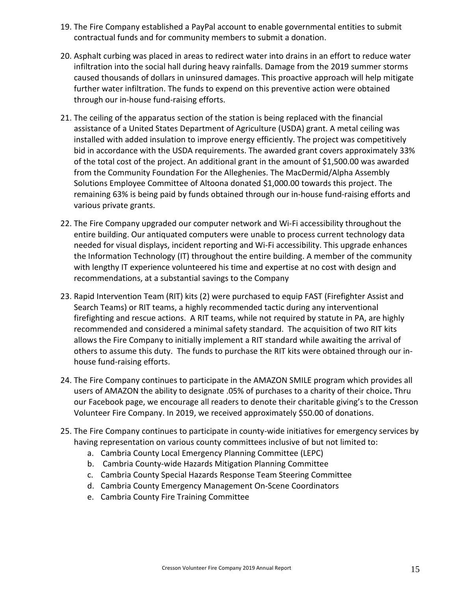- 19. The Fire Company established a PayPal account to enable governmental entities to submit contractual funds and for community members to submit a donation.
- 20. Asphalt curbing was placed in areas to redirect water into drains in an effort to reduce water infiltration into the social hall during heavy rainfalls. Damage from the 2019 summer storms caused thousands of dollars in uninsured damages. This proactive approach will help mitigate further water infiltration. The funds to expend on this preventive action were obtained through our in-house fund-raising efforts.
- 21. The ceiling of the apparatus section of the station is being replaced with the financial assistance of a United States Department of Agriculture (USDA) grant. A metal ceiling was installed with added insulation to improve energy efficiently. The project was competitively bid in accordance with the USDA requirements. The awarded grant covers approximately 33% of the total cost of the project. An additional grant in the amount of \$1,500.00 was awarded from the Community Foundation For the Alleghenies. The MacDermid/Alpha Assembly Solutions Employee Committee of Altoona donated \$1,000.00 towards this project. The remaining 63% is being paid by funds obtained through our in-house fund-raising efforts and various private grants.
- 22. The Fire Company upgraded our computer network and Wi-Fi accessibility throughout the entire building. Our antiquated computers were unable to process current technology data needed for visual displays, incident reporting and Wi-Fi accessibility. This upgrade enhances the Information Technology (IT) throughout the entire building. A member of the community with lengthy IT experience volunteered his time and expertise at no cost with design and recommendations, at a substantial savings to the Company
- 23. Rapid Intervention Team (RIT) kits (2) were purchased to equip FAST (Firefighter Assist and Search Teams) or RIT teams, a highly recommended tactic during any interventional firefighting and rescue actions. A RIT teams, while not required by statute in PA, are highly recommended and considered a minimal safety standard. The acquisition of two RIT kits allows the Fire Company to initially implement a RIT standard while awaiting the arrival of others to assume this duty. The funds to purchase the RIT kits were obtained through our inhouse fund-raising efforts.
- 24. The Fire Company continues to participate in the AMAZON SMILE program which provides all users of AMAZON the ability to designate .05% of purchases to a charity of their choice**.** Thru our Facebook page, we encourage all readers to denote their charitable giving's to the Cresson Volunteer Fire Company. In 2019, we received approximately \$50.00 of donations.
- 25. The Fire Company continues to participate in county-wide initiatives for emergency services by having representation on various county committees inclusive of but not limited to:
	- a. Cambria County Local Emergency Planning Committee (LEPC)
	- b. Cambria County-wide Hazards Mitigation Planning Committee
	- c. Cambria County Special Hazards Response Team Steering Committee
	- d. Cambria County Emergency Management On-Scene Coordinators
	- e. Cambria County Fire Training Committee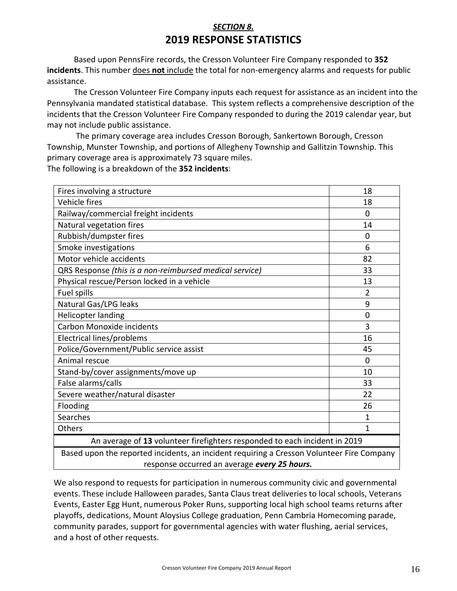### *SECTION 8.* **2019 RESPONSE STATISTICS**

Based upon PennsFire records, the Cresson Volunteer Fire Company responded to **352 incidents**. This number does **not** include the total for non-emergency alarms and requests for public assistance.

The Cresson Volunteer Fire Company inputs each request for assistance as an incident into the Pennsylvania mandated statistical database. This system reflects a comprehensive description of the incidents that the Cresson Volunteer Fire Company responded to during the 2019 calendar year, but may not include public assistance.

The primary coverage area includes Cresson Borough, Sankertown Borough, Cresson Township, Munster Township, and portions of Allegheny Township and Gallitzin Township. This primary coverage area is approximately 73 square miles. The following is a breakdown of the **352 incidents**:

| Fires involving a structure                                                                 | 18             |  |
|---------------------------------------------------------------------------------------------|----------------|--|
| <b>Vehicle fires</b>                                                                        | 18             |  |
| Railway/commercial freight incidents                                                        | $\Omega$       |  |
| Natural vegetation fires                                                                    | 14             |  |
| Rubbish/dumpster fires                                                                      | 0              |  |
| Smoke investigations                                                                        | 6              |  |
| Motor vehicle accidents                                                                     | 82             |  |
| QRS Response (this is a non-reimbursed medical service)                                     | 33             |  |
| Physical rescue/Person locked in a vehicle                                                  | 13             |  |
| Fuel spills                                                                                 | $\overline{2}$ |  |
| Natural Gas/LPG leaks                                                                       | 9              |  |
| Helicopter landing                                                                          | $\overline{0}$ |  |
| Carbon Monoxide incidents                                                                   | 3              |  |
| Electrical lines/problems                                                                   | 16             |  |
| Police/Government/Public service assist                                                     | 45             |  |
| Animal rescue                                                                               | $\Omega$       |  |
| Stand-by/cover assignments/move up                                                          | 10             |  |
| False alarms/calls                                                                          | 33             |  |
| Severe weather/natural disaster                                                             | 22             |  |
| Flooding                                                                                    | 26             |  |
| Searches                                                                                    | 1              |  |
| Others                                                                                      | 1              |  |
| Can all and Confeder<br>$\mathbf{A}$ and $\mathbf{A}$ are all the state of the $\mathbf{A}$ |                |  |

An average of **13** volunteer firefighters responded to each incident in 2019

Based upon the reported incidents, an incident requiring a Cresson Volunteer Fire Company response occurred an average *every 25 hours.*

We also respond to requests for participation in numerous community civic and governmental events. These include Halloween parades, Santa Claus treat deliveries to local schools, Veterans Events, Easter Egg Hunt, numerous Poker Runs, supporting local high school teams returns after playoffs, dedications, Mount Aloysius College graduation, Penn Cambria Homecoming parade, community parades, support for governmental agencies with water flushing, aerial services, and a host of other requests.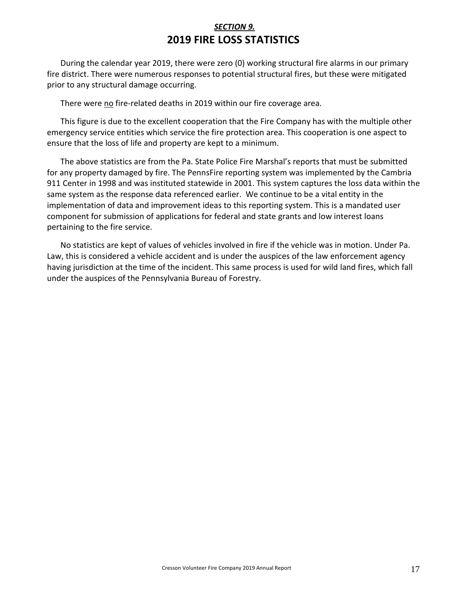### *SECTION 9.* **2019 FIRE LOSS STATISTICS**

During the calendar year 2019, there were zero (0) working structural fire alarms in our primary fire district. There were numerous responses to potential structural fires, but these were mitigated prior to any structural damage occurring.

There were no fire-related deaths in 2019 within our fire coverage area.

This figure is due to the excellent cooperation that the Fire Company has with the multiple other emergency service entities which service the fire protection area. This cooperation is one aspect to ensure that the loss of life and property are kept to a minimum.

The above statistics are from the Pa. State Police Fire Marshal's reports that must be submitted for any property damaged by fire. The PennsFire reporting system was implemented by the Cambria 911 Center in 1998 and was instituted statewide in 2001. This system captures the loss data within the same system as the response data referenced earlier. We continue to be a vital entity in the implementation of data and improvement ideas to this reporting system. This is a mandated user component for submission of applications for federal and state grants and low interest loans pertaining to the fire service.

No statistics are kept of values of vehicles involved in fire if the vehicle was in motion. Under Pa. Law, this is considered a vehicle accident and is under the auspices of the law enforcement agency having jurisdiction at the time of the incident. This same process is used for wild land fires, which fall under the auspices of the Pennsylvania Bureau of Forestry.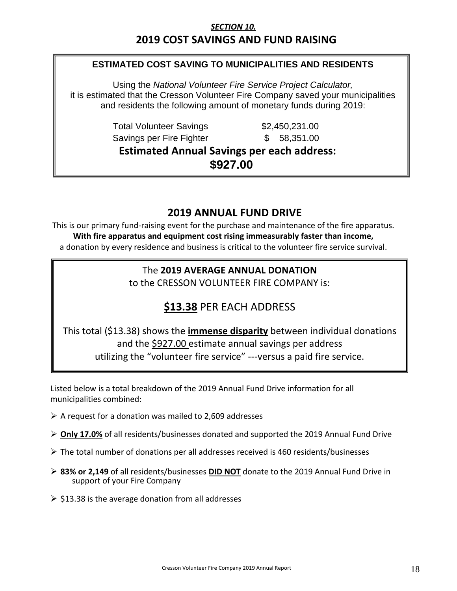### *SECTION 10.*  **2019 COST SAVINGS AND FUND RAISING**

### **ESTIMATED COST SAVING TO MUNICIPALITIES AND RESIDENTS**

Using the *National Volunteer Fire Service Project Calculator,* it is estimated that the Cresson Volunteer Fire Company saved your municipalities and residents the following amount of monetary funds during 2019:

> Total Volunteer Savings  $$2,450,231.00$ Savings per Fire Fighter  $$58,351.00$

**Estimated Annual Savings per each address: \$927.00**

### **2019 ANNUAL FUND DRIVE**

This is our primary fund-raising event for the purchase and maintenance of the fire apparatus. **With fire apparatus and equipment cost rising immeasurably faster than income,** a donation by every residence and business is critical to the volunteer fire service survival.

### The **2019 AVERAGE ANNUAL DONATION**

to the CRESSON VOLUNTEER FIRE COMPANY is:

### **\$13.38** PER EACH ADDRESS

This total (\$13.38) shows the **immense disparity** between individual donations and the \$927.00 estimate annual savings per address utilizing the "volunteer fire service" ---versus a paid fire service.

Listed below is a total breakdown of the 2019 Annual Fund Drive information for all municipalities combined:

- $\triangleright$  A request for a donation was mailed to 2,609 addresses
- ➢ **Only 17.0%** of all residents/businesses donated and supported the 2019 Annual Fund Drive
- $\triangleright$  The total number of donations per all addresses received is 460 residents/businesses
- ➢ **83% or 2,149** of all residents/businesses **DID NOT** donate to the 2019 Annual Fund Drive in support of your Fire Company
- $\triangleright$  \$13.38 is the average donation from all addresses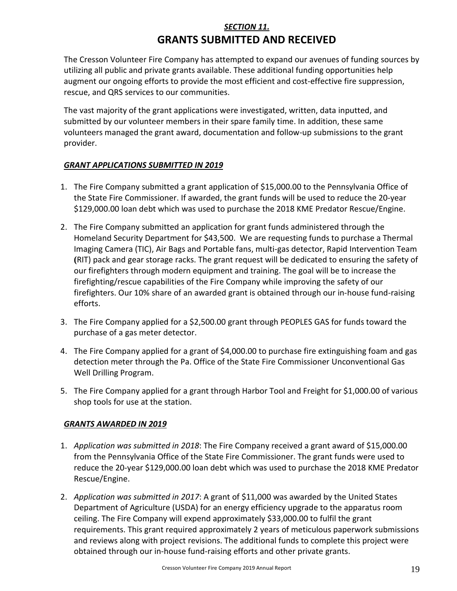### *SECTION 11.* **GRANTS SUBMITTED AND RECEIVED**

The Cresson Volunteer Fire Company has attempted to expand our avenues of funding sources by utilizing all public and private grants available. These additional funding opportunities help augment our ongoing efforts to provide the most efficient and cost-effective fire suppression, rescue, and QRS services to our communities.

The vast majority of the grant applications were investigated, written, data inputted, and submitted by our volunteer members in their spare family time. In addition, these same volunteers managed the grant award, documentation and follow-up submissions to the grant provider.

### *GRANT APPLICATIONS SUBMITTED IN 2019*

- 1. The Fire Company submitted a grant application of \$15,000.00 to the Pennsylvania Office of the State Fire Commissioner. If awarded, the grant funds will be used to reduce the 20-year \$129,000.00 loan debt which was used to purchase the 2018 KME Predator Rescue/Engine.
- 2. The Fire Company submitted an application for grant funds administered through the Homeland Security Department for \$43,500. We are requesting funds to purchase a Thermal Imaging Camera (TIC), Air Bags and Portable fans, multi-gas detector, Rapid Intervention Team **(**RIT) pack and gear storage racks. The grant request will be dedicated to ensuring the safety of our firefighters through modern equipment and training. The goal will be to increase the firefighting/rescue capabilities of the Fire Company while improving the safety of our firefighters. Our 10% share of an awarded grant is obtained through our in-house fund-raising efforts.
- 3. The Fire Company applied for a \$2,500.00 grant through PEOPLES GAS for funds toward the purchase of a gas meter detector.
- 4. The Fire Company applied for a grant of \$4,000.00 to purchase fire extinguishing foam and gas detection meter through the Pa. Office of the State Fire Commissioner Unconventional Gas Well Drilling Program.
- 5. The Fire Company applied for a grant through Harbor Tool and Freight for \$1,000.00 of various shop tools for use at the station.

### *GRANTS AWARDED IN 2019*

- 1. *Application was submitted in 2018*: The Fire Company received a grant award of \$15,000.00 from the Pennsylvania Office of the State Fire Commissioner. The grant funds were used to reduce the 20-year \$129,000.00 loan debt which was used to purchase the 2018 KME Predator Rescue/Engine.
- 2. *Application was submitted in 2017*: A grant of \$11,000 was awarded by the United States Department of Agriculture (USDA) for an energy efficiency upgrade to the apparatus room ceiling. The Fire Company will expend approximately \$33,000.00 to fulfil the grant requirements. This grant required approximately 2 years of meticulous paperwork submissions and reviews along with project revisions. The additional funds to complete this project were obtained through our in-house fund-raising efforts and other private grants.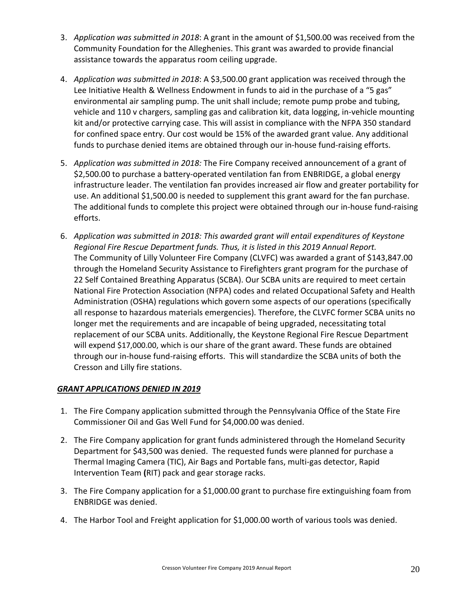- 3. *Application was submitted in 2018*: A grant in the amount of \$1,500.00 was received from the Community Foundation for the Alleghenies. This grant was awarded to provide financial assistance towards the apparatus room ceiling upgrade.
- 4. *Application was submitted in 2018*: A \$3,500.00 grant application was received through the Lee Initiative Health & Wellness Endowment in funds to aid in the purchase of a "5 gas" environmental air sampling pump. The unit shall include; remote pump probe and tubing, vehicle and 110 v chargers, sampling gas and calibration kit, data logging, in-vehicle mounting kit and/or protective carrying case. This will assist in compliance with the NFPA 350 standard for confined space entry. Our cost would be 15% of the awarded grant value. Any additional funds to purchase denied items are obtained through our in-house fund-raising efforts.
- 5. *Application was submitted in 2018:* The Fire Company received announcement of a grant of \$2,500.00 to purchase a battery-operated ventilation fan from ENBRIDGE, a global energy infrastructure leader. The ventilation fan provides increased air flow and greater portability for use. An additional \$1,500.00 is needed to supplement this grant award for the fan purchase. The additional funds to complete this project were obtained through our in-house fund-raising efforts.
- 6. *Application was submitted in 2018: This awarded grant will entail expenditures of Keystone Regional Fire Rescue Department funds. Thus, it is listed in this 2019 Annual Report.* The Community of Lilly Volunteer Fire Company (CLVFC) was awarded a grant of \$143,847.00 through the Homeland Security Assistance to Firefighters grant program for the purchase of 22 Self Contained Breathing Apparatus (SCBA). Our SCBA units are required to meet certain National Fire Protection Association (NFPA) codes and related Occupational Safety and Health Administration (OSHA) regulations which govern some aspects of our operations (specifically all response to hazardous materials emergencies). Therefore, the CLVFC former SCBA units no longer met the requirements and are incapable of being upgraded, necessitating total replacement of our SCBA units. Additionally, the Keystone Regional Fire Rescue Department will expend \$17,000.00, which is our share of the grant award. These funds are obtained through our in-house fund-raising efforts. This will standardize the SCBA units of both the Cresson and Lilly fire stations.

### *GRANT APPLICATIONS DENIED IN 2019*

- 1. The Fire Company application submitted through the Pennsylvania Office of the State Fire Commissioner Oil and Gas Well Fund for \$4,000.00 was denied.
- 2. The Fire Company application for grant funds administered through the Homeland Security Department for \$43,500 was denied. The requested funds were planned for purchase a Thermal Imaging Camera (TIC), Air Bags and Portable fans, multi-gas detector, Rapid Intervention Team **(**RIT) pack and gear storage racks.
- 3. The Fire Company application for a \$1,000.00 grant to purchase fire extinguishing foam from ENBRIDGE was denied.
- 4. The Harbor Tool and Freight application for \$1,000.00 worth of various tools was denied.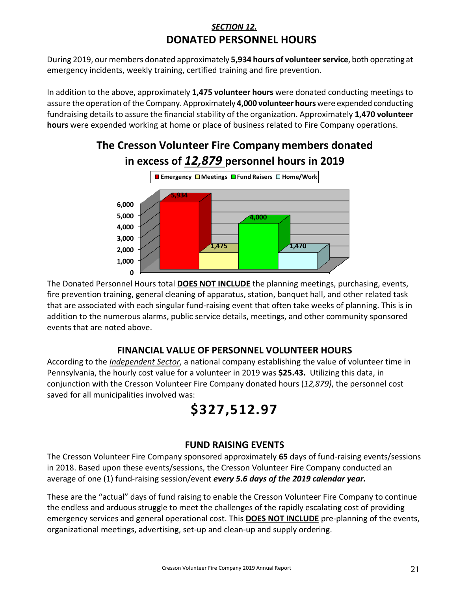### *SECTION 12.*  **DONATED PERSONNEL HOURS**

During 2019, our members donated approximately **5,934 hours of volunteer service**, both operating at emergency incidents, weekly training, certified training and fire prevention.

In addition to the above, approximately **1,475 volunteer hours** were donated conducting meetings to assure the operation of the Company. Approximately **4,000 volunteer hours** were expended conducting fundraising details to assure the financial stability of the organization. Approximately **1,470 volunteer hours** were expended working at home or place of business related to Fire Company operations.

### **The Cresson Volunteer Fire Company members donated in excess of** *12,879* **personnel hours in 2019**



The Donated Personnel Hours total **DOES NOT INCLUDE** the planning meetings, purchasing, events, fire prevention training, general cleaning of apparatus, station, banquet hall, and other related task that are associated with each singular fund-raising event that often take weeks of planning. This is in addition to the numerous alarms, public service details, meetings, and other community sponsored events that are noted above.

### **FINANCIAL VALUE OF PERSONNEL VOLUNTEER HOURS**

According to the *Independent Sector*, a national company establishing the value of volunteer time in Pennsylvania, the hourly cost value for a volunteer in 2019 was **\$25.43.** Utilizing this data, in conjunction with the Cresson Volunteer Fire Company donated hours (*12,879)*, the personnel cost saved for all municipalities involved was:

### **\$327,512.97**

### **FUND RAISING EVENTS**

The Cresson Volunteer Fire Company sponsored approximately **65** days of fund-raising events/sessions in 2018. Based upon these events/sessions, the Cresson Volunteer Fire Company conducted an average of one (1) fund-raising session/event *every 5.6 days of the 2019 calendar year.*

These are the "actual" days of fund raising to enable the Cresson Volunteer Fire Company to continue the endless and arduous struggle to meet the challenges of the rapidly escalating cost of providing emergency services and general operational cost. This **DOES NOT INCLUDE** pre-planning of the events, organizational meetings, advertising, set-up and clean-up and supply ordering.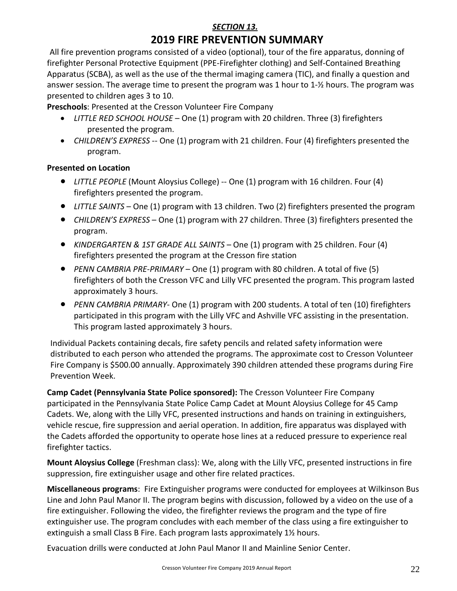### *SECTION 13.*  **2019 FIRE PREVENTION SUMMARY**

All fire prevention programs consisted of a video (optional), tour of the fire apparatus, donning of firefighter Personal Protective Equipment (PPE-Firefighter clothing) and Self-Contained Breathing Apparatus (SCBA), as well as the use of the thermal imaging camera (TIC), and finally a question and answer session. The average time to present the program was 1 hour to 1-½ hours. The program was presented to children ages 3 to 10.

**Preschools**: Presented at the Cresson Volunteer Fire Company

- *LITTLE RED SCHOOL HOUSE* One (1) program with 20 children. Three (3) firefighters presented the program.
- *CHILDREN'S EXPRESS* -- One (1) program with 21 children. Four (4) firefighters presented the program.

### **Presented on Location**

- *LITTLE PEOPLE* (Mount Aloysius College) -- One (1) program with 16 children. Four (4) firefighters presented the program.
- *LITTLE SAINTS* One (1) program with 13 children. Two (2) firefighters presented the program
- *CHILDREN'S EXPRESS* One (1) program with 27 children. Three (3) firefighters presented the program.
- *KINDERGARTEN & 1ST GRADE ALL SAINTS* One (1) program with 25 children. Four (4) firefighters presented the program at the Cresson fire station
- *PENN CAMBRIA PRE-PRIMARY* One (1) program with 80 children. A total of five (5) firefighters of both the Cresson VFC and Lilly VFC presented the program. This program lasted approximately 3 hours.
- *PENN CAMBRIA PRIMARY* One (1) program with 200 students. A total of ten (10) firefighters participated in this program with the Lilly VFC and Ashville VFC assisting in the presentation. This program lasted approximately 3 hours.

Individual Packets containing decals, fire safety pencils and related safety information were distributed to each person who attended the programs. The approximate cost to Cresson Volunteer Fire Company is \$500.00 annually. Approximately 390 children attended these programs during Fire Prevention Week.

**Camp Cadet (Pennsylvania State Police sponsored):** The Cresson Volunteer Fire Company participated in the Pennsylvania State Police Camp Cadet at Mount Aloysius College for 45 Camp Cadets. We, along with the Lilly VFC, presented instructions and hands on training in extinguishers, vehicle rescue, fire suppression and aerial operation. In addition, fire apparatus was displayed with the Cadets afforded the opportunity to operate hose lines at a reduced pressure to experience real firefighter tactics.

**Mount Aloysius College** (Freshman class): We, along with the Lilly VFC, presented instructions in fire suppression, fire extinguisher usage and other fire related practices.

**Miscellaneous programs**: Fire Extinguisher programs were conducted for employees at Wilkinson Bus Line and John Paul Manor II. The program begins with discussion, followed by a video on the use of a fire extinguisher. Following the video, the firefighter reviews the program and the type of fire extinguisher use. The program concludes with each member of the class using a fire extinguisher to extinguish a small Class B Fire. Each program lasts approximately 1½ hours.

Evacuation drills were conducted at John Paul Manor II and Mainline Senior Center.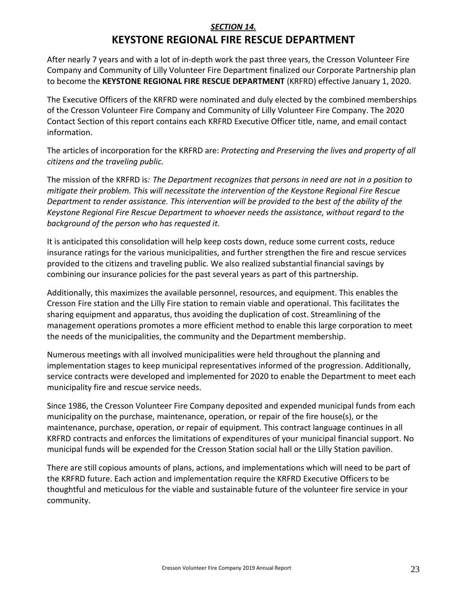### *SECTION 14.* **KEYSTONE REGIONAL FIRE RESCUE DEPARTMENT**

After nearly 7 years and with a lot of in-depth work the past three years, the Cresson Volunteer Fire Company and Community of Lilly Volunteer Fire Department finalized our Corporate Partnership plan to become the **KEYSTONE REGIONAL FIRE RESCUE DEPARTMENT** (KRFRD) effective January 1, 2020.

The Executive Officers of the KRFRD were nominated and duly elected by the combined memberships of the Cresson Volunteer Fire Company and Community of Lilly Volunteer Fire Company. The 2020 Contact Section of this report contains each KRFRD Executive Officer title, name, and email contact information.

The articles of incorporation for the KRFRD are: *Protecting and Preserving the lives and property of all citizens and the traveling public.*

The mission of the KRFRD is*: The Department recognizes that persons in need are not in a position to mitigate their problem. This will necessitate the intervention of the Keystone Regional Fire Rescue Department to render assistance. This intervention will be provided to the best of the ability of the Keystone Regional Fire Rescue Department to whoever needs the assistance, without regard to the background of the person who has requested it.*

It is anticipated this consolidation will help keep costs down, reduce some current costs, reduce insurance ratings for the various municipalities, and further strengthen the fire and rescue services provided to the citizens and traveling public. We also realized substantial financial savings by combining our insurance policies for the past several years as part of this partnership.

Additionally, this maximizes the available personnel, resources, and equipment. This enables the Cresson Fire station and the Lilly Fire station to remain viable and operational. This facilitates the sharing equipment and apparatus, thus avoiding the duplication of cost. Streamlining of the management operations promotes a more efficient method to enable this large corporation to meet the needs of the municipalities, the community and the Department membership.

Numerous meetings with all involved municipalities were held throughout the planning and implementation stages to keep municipal representatives informed of the progression. Additionally, service contracts were developed and implemented for 2020 to enable the Department to meet each municipality fire and rescue service needs.

Since 1986, the Cresson Volunteer Fire Company deposited and expended municipal funds from each municipality on the purchase, maintenance, operation, or repair of the fire house(s), or the maintenance, purchase, operation, or repair of equipment. This contract language continues in all KRFRD contracts and enforces the limitations of expenditures of your municipal financial support. No municipal funds will be expended for the Cresson Station social hall or the Lilly Station pavilion.

There are still copious amounts of plans, actions, and implementations which will need to be part of the KRFRD future. Each action and implementation require the KRFRD Executive Officers to be thoughtful and meticulous for the viable and sustainable future of the volunteer fire service in your community.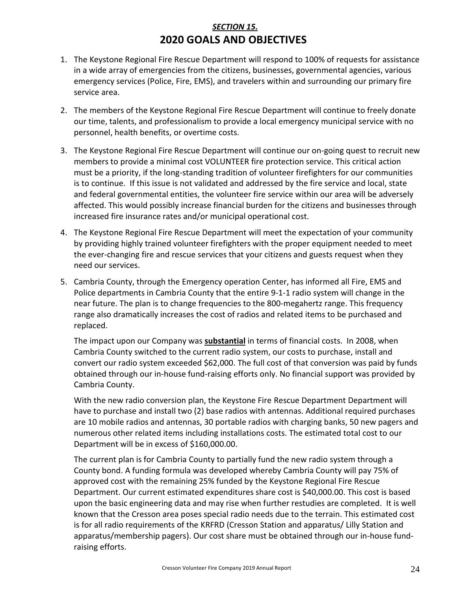### *SECTION 15.* **2020 GOALS AND OBJECTIVES**

- 1. The Keystone Regional Fire Rescue Department will respond to 100% of requests for assistance in a wide array of emergencies from the citizens, businesses, governmental agencies, various emergency services (Police, Fire, EMS), and travelers within and surrounding our primary fire service area.
- 2. The members of the Keystone Regional Fire Rescue Department will continue to freely donate our time, talents, and professionalism to provide a local emergency municipal service with no personnel, health benefits, or overtime costs.
- 3. The Keystone Regional Fire Rescue Department will continue our on-going quest to recruit new members to provide a minimal cost VOLUNTEER fire protection service. This critical action must be a priority, if the long-standing tradition of volunteer firefighters for our communities is to continue. If this issue is not validated and addressed by the fire service and local, state and federal governmental entities, the volunteer fire service within our area will be adversely affected. This would possibly increase financial burden for the citizens and businesses through increased fire insurance rates and/or municipal operational cost.
- 4. The Keystone Regional Fire Rescue Department will meet the expectation of your community by providing highly trained volunteer firefighters with the proper equipment needed to meet the ever-changing fire and rescue services that your citizens and guests request when they need our services.
- 5. Cambria County, through the Emergency operation Center, has informed all Fire, EMS and Police departments in Cambria County that the entire 9-1-1 radio system will change in the near future. The plan is to change frequencies to the 800-megahertz range. This frequency range also dramatically increases the cost of radios and related items to be purchased and replaced.

The impact upon our Company was **substantial** in terms of financial costs. In 2008, when Cambria County switched to the current radio system, our costs to purchase, install and convert our radio system exceeded \$62,000. The full cost of that conversion was paid by funds obtained through our in-house fund-raising efforts only. No financial support was provided by Cambria County.

With the new radio conversion plan, the Keystone Fire Rescue Department Department will have to purchase and install two (2) base radios with antennas. Additional required purchases are 10 mobile radios and antennas, 30 portable radios with charging banks, 50 new pagers and numerous other related items including installations costs. The estimated total cost to our Department will be in excess of \$160,000.00.

The current plan is for Cambria County to partially fund the new radio system through a County bond. A funding formula was developed whereby Cambria County will pay 75% of approved cost with the remaining 25% funded by the Keystone Regional Fire Rescue Department. Our current estimated expenditures share cost is \$40,000.00. This cost is based upon the basic engineering data and may rise when further restudies are completed. It is well known that the Cresson area poses special radio needs due to the terrain. This estimated cost is for all radio requirements of the KRFRD (Cresson Station and apparatus/ Lilly Station and apparatus/membership pagers). Our cost share must be obtained through our in-house fundraising efforts.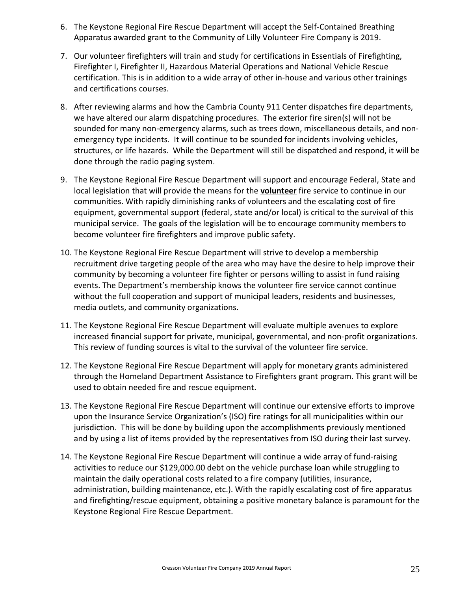- 6. The Keystone Regional Fire Rescue Department will accept the Self-Contained Breathing Apparatus awarded grant to the Community of Lilly Volunteer Fire Company is 2019.
- 7. Our volunteer firefighters will train and study for certifications in Essentials of Firefighting, Firefighter I, Firefighter II, Hazardous Material Operations and National Vehicle Rescue certification. This is in addition to a wide array of other in-house and various other trainings and certifications courses.
- 8. After reviewing alarms and how the Cambria County 911 Center dispatches fire departments, we have altered our alarm dispatching procedures. The exterior fire siren(s) will not be sounded for many non-emergency alarms, such as trees down, miscellaneous details, and nonemergency type incidents. It will continue to be sounded for incidents involving vehicles, structures, or life hazards. While the Department will still be dispatched and respond, it will be done through the radio paging system.
- 9. The Keystone Regional Fire Rescue Department will support and encourage Federal, State and local legislation that will provide the means for the **volunteer** fire service to continue in our communities. With rapidly diminishing ranks of volunteers and the escalating cost of fire equipment, governmental support (federal, state and/or local) is critical to the survival of this municipal service. The goals of the legislation will be to encourage community members to become volunteer fire firefighters and improve public safety.
- 10. The Keystone Regional Fire Rescue Department will strive to develop a membership recruitment drive targeting people of the area who may have the desire to help improve their community by becoming a volunteer fire fighter or persons willing to assist in fund raising events. The Department's membership knows the volunteer fire service cannot continue without the full cooperation and support of municipal leaders, residents and businesses, media outlets, and community organizations.
- 11. The Keystone Regional Fire Rescue Department will evaluate multiple avenues to explore increased financial support for private, municipal, governmental, and non-profit organizations. This review of funding sources is vital to the survival of the volunteer fire service.
- 12. The Keystone Regional Fire Rescue Department will apply for monetary grants administered through the Homeland Department Assistance to Firefighters grant program. This grant will be used to obtain needed fire and rescue equipment.
- 13. The Keystone Regional Fire Rescue Department will continue our extensive efforts to improve upon the Insurance Service Organization's (ISO) fire ratings for all municipalities within our jurisdiction. This will be done by building upon the accomplishments previously mentioned and by using a list of items provided by the representatives from ISO during their last survey.
- 14. The Keystone Regional Fire Rescue Department will continue a wide array of fund-raising activities to reduce our \$129,000.00 debt on the vehicle purchase loan while struggling to maintain the daily operational costs related to a fire company (utilities, insurance, administration, building maintenance, etc.). With the rapidly escalating cost of fire apparatus and firefighting/rescue equipment, obtaining a positive monetary balance is paramount for the Keystone Regional Fire Rescue Department.